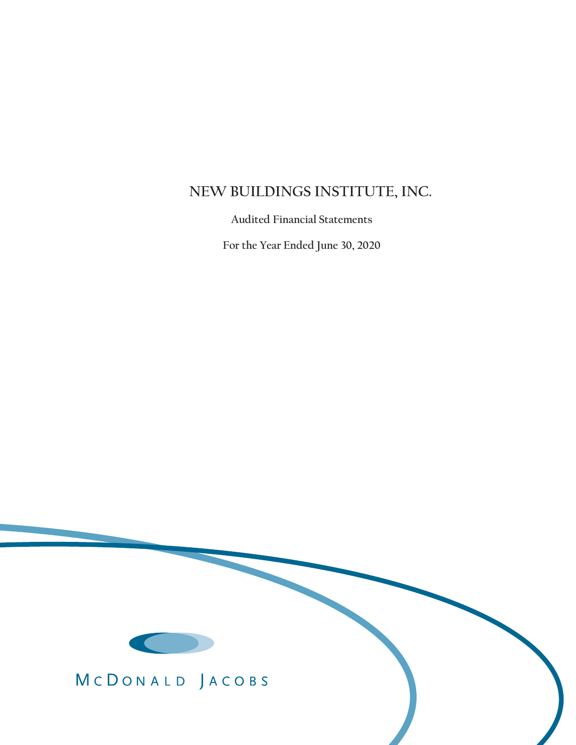# **NEW BUILDINGS INSTITUTE, INC.**

 **Audited Financial Statements**

 **For the Year Ended June 30, 2020**



MCDONALD JACOBS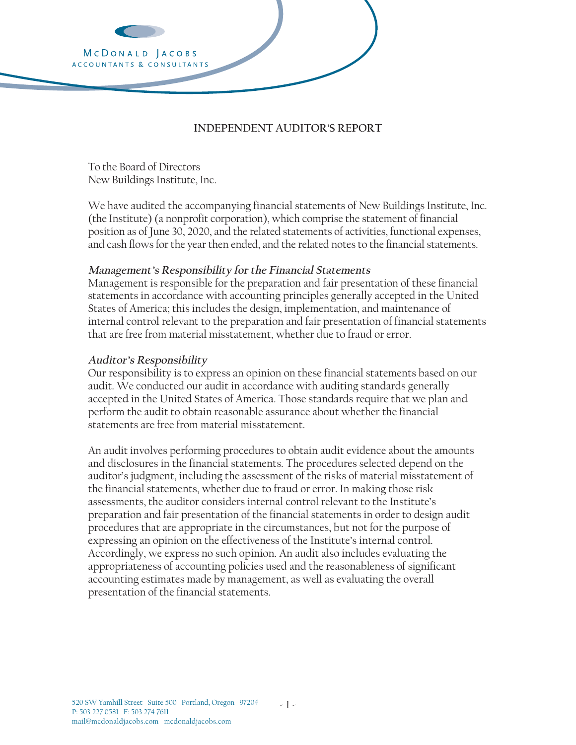

### **INDEPENDENT AUDITOR'S REPORT**

To the Board of Directors New Buildings Institute, Inc.

We have audited the accompanying financial statements of New Buildings Institute, Inc. (the Institute) (a nonprofit corporation), which comprise the statement of financial position as of June 30, 2020, and the related statements of activities, functional expenses, and cash flows for the year then ended, and the related notes to the financial statements.

### **Management's Responsibility for the Financial Statements**

Management is responsible for the preparation and fair presentation of these financial statements in accordance with accounting principles generally accepted in the United States of America; this includes the design, implementation, and maintenance of internal control relevant to the preparation and fair presentation of financial statements that are free from material misstatement, whether due to fraud or error.

### **Auditor's Responsibility**

audit. We conducted our audit in accordance with auditing standards generally<br>accepted in the United States of America. Those standards require that we plan and Our responsibility is to express an opinion on these financial statements based on our audit. We conducted our audit in accordance with auditing standards generally perform the audit to obtain reasonable assurance about whether the financial statements are free from material misstatement.

An audit involves performing procedures to obtain audit evidence about the amounts and disclosures in the financial statements. The procedures selected depend on the auditor's judgment, including the assessment of the risks of material misstatement of the financial statements, whether due to fraud or error. In making those risk assessments, the auditor considers internal control relevant to the Institute's preparation and fair presentation of the financial statements in order to design audit procedures that are appropriate in the circumstances, but not for the purpose of expressing an opinion on the effectiveness of the Institute's internal control. Accordingly, we express no such opinion. An audit also includes evaluating the appropriateness of accounting policies used and the reasonableness of significant accounting estimates made by management, as well as evaluating the overall presentation of the financial statements.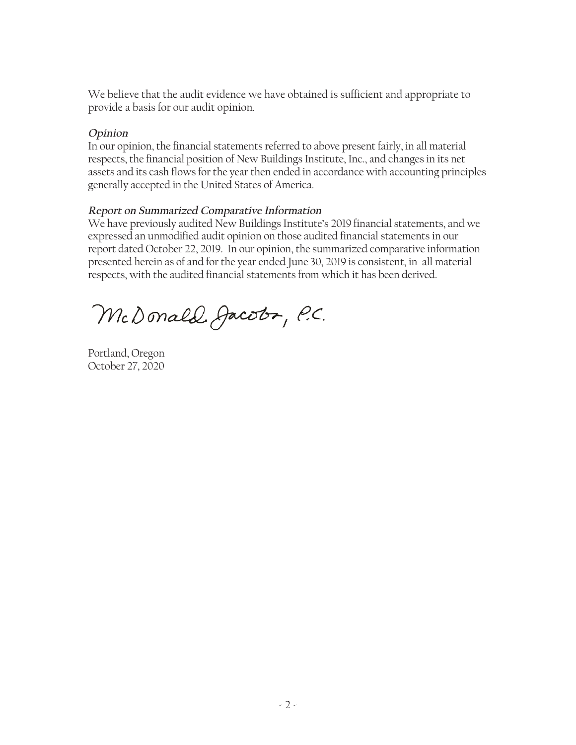We believe that the audit evidence we have obtained is sufficient and appropriate to provide a basis for our audit opinion.

### **Opinion**

In our opinion, the financial statements referred to above present fairly, in all material respects, the financial position of New Buildings Institute, Inc., and changes in its net assets and its cash flows for the year then ended in accordance with accounting principles generally accepted in the United States of America.

### **Report on Summarized Comparative Information**

We have previously audited New Buildings Institute's 2019 financial statements, and we expressed an unmodified audit opinion on those audited financial statements in our report dated October 22, 2019. In our opinion, the summarized comparative information presented herein as of and for the year ended June 30, 2019 is consistent, in all material respects, with the audited financial statements from which it has been derived.

McDonald Jacobs, P.C.

Portland, Oregon October 27, 2020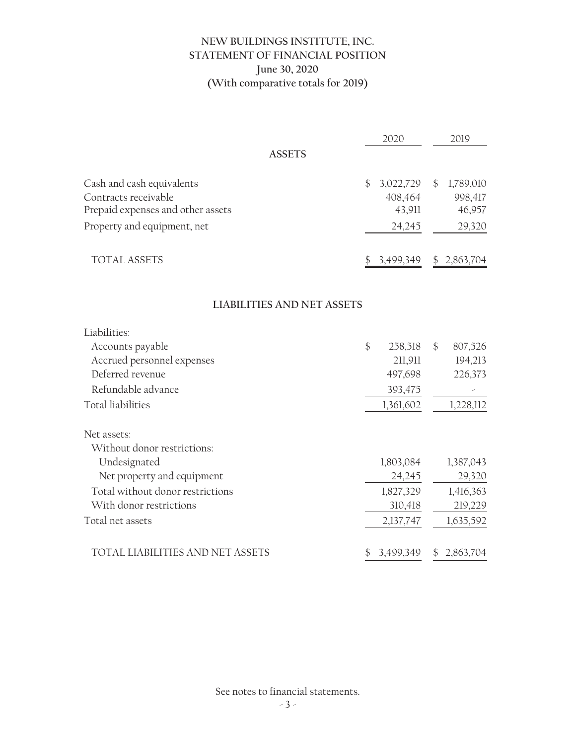# **NEW BUILDINGS INSTITUTE, INC. STATEMENT OF FINANCIAL POSITION June 30, 2020 (With comparative totals for 2019)**

|                                                                                                                                                                             | 2020                                                      | 2019                                                     |
|-----------------------------------------------------------------------------------------------------------------------------------------------------------------------------|-----------------------------------------------------------|----------------------------------------------------------|
| <b>ASSETS</b>                                                                                                                                                               |                                                           |                                                          |
| Cash and cash equivalents<br>Contracts receivable<br>Prepaid expenses and other assets                                                                                      | 3,022,729<br>\$<br>408,464<br>43,911                      | 1,789,010<br>$\mathcal{S}$<br>998,417<br>46,957          |
| Property and equipment, net                                                                                                                                                 | 24,245                                                    | 29,320                                                   |
| <b>TOTAL ASSETS</b>                                                                                                                                                         | 3,499,349                                                 | 2,863,704<br>\$                                          |
| <b>LIABILITIES AND NET ASSETS</b>                                                                                                                                           |                                                           |                                                          |
| Liabilities:<br>Accounts payable<br>Accrued personnel expenses<br>Deferred revenue<br>Refundable advance                                                                    | $\frac{1}{2}$<br>258,518<br>211,911<br>497,698<br>393,475 | $\mathcal{S}$<br>807,526<br>194,213<br>226,373           |
| Total liabilities                                                                                                                                                           | 1,361,602                                                 | 1,228,112                                                |
| Net assets:<br>Without donor restrictions:<br>Undesignated<br>Net property and equipment<br>Total without donor restrictions<br>With donor restrictions<br>Total net assets | 1,803,084<br>24,245<br>1,827,329<br>310,418<br>2,137,747  | 1,387,043<br>29,320<br>1,416,363<br>219,229<br>1,635,592 |
| <b>TOTAL LIABILITIES AND NET ASSETS</b>                                                                                                                                     | 3,499,349<br>\$                                           | \$<br>2,863,704                                          |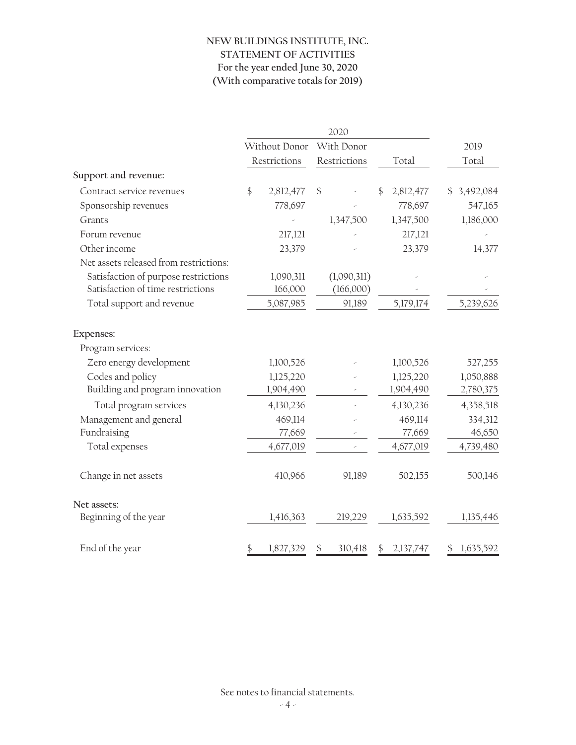# **NEW BUILDINGS INSTITUTE, INC. STATEMENT OF ACTIVITIES For the year ended June 30, 2020 (With comparative totals for 2019)**

|                                                                           |               |                      |    | 2020                     |    |           |    |           |
|---------------------------------------------------------------------------|---------------|----------------------|----|--------------------------|----|-----------|----|-----------|
|                                                                           |               | Without Donor        |    | With Donor               |    |           |    | 2019      |
|                                                                           |               | Restrictions         |    | Restrictions             |    | Total     |    | Total     |
| Support and revenue:                                                      |               |                      |    |                          |    |           |    |           |
| Contract service revenues                                                 | $\mathcal{S}$ | 2,812,477            | \$ |                          | \$ | 2,812,477 | S. | 3,492,084 |
| Sponsorship revenues                                                      |               | 778,697              |    |                          |    | 778,697   |    | 547,165   |
| Grants                                                                    |               |                      |    | 1,347,500                |    | 1,347,500 |    | 1,186,000 |
| Forum revenue                                                             |               | 217,121              |    |                          |    | 217,121   |    |           |
| Other income                                                              |               | 23,379               |    |                          |    | 23,379    |    | 14,377    |
| Net assets released from restrictions:                                    |               |                      |    |                          |    |           |    |           |
| Satisfaction of purpose restrictions<br>Satisfaction of time restrictions |               | 1,090,311<br>166,000 |    | (1,090,311)<br>(166,000) |    |           |    |           |
| Total support and revenue                                                 |               | 5,087,985            |    | 91,189                   |    | 5,179,174 |    | 5,239,626 |
| <b>Expenses:</b>                                                          |               |                      |    |                          |    |           |    |           |
| Program services:                                                         |               |                      |    |                          |    |           |    |           |
| Zero energy development                                                   |               | 1,100,526            |    |                          |    | 1,100,526 |    | 527,255   |
| Codes and policy                                                          |               | 1,125,220            |    |                          |    | 1,125,220 |    | 1,050,888 |
| Building and program innovation                                           |               | 1,904,490            |    |                          |    | 1,904,490 |    | 2,780,375 |
| Total program services                                                    |               | 4,130,236            |    |                          |    | 4,130,236 |    | 4,358,518 |
| Management and general                                                    |               | 469,114              |    |                          |    | 469,114   |    | 334,312   |
| Fundraising                                                               |               | 77,669               |    |                          |    | 77,669    |    | 46,650    |
| Total expenses                                                            |               | 4,677,019            |    |                          |    | 4,677,019 |    | 4,739,480 |
| Change in net assets                                                      |               | 410,966              |    | 91,189                   |    | 502,155   |    | 500,146   |
| Net assets:                                                               |               |                      |    |                          |    |           |    |           |
| Beginning of the year                                                     |               | 1,416,363            |    | 219,229                  |    | 1,635,592 |    | 1,135,446 |
| End of the year                                                           | \$            | 1,827,329            | \$ | 310,418                  | \$ | 2,137,747 | \$ | 1,635,592 |

See notes to financial statements.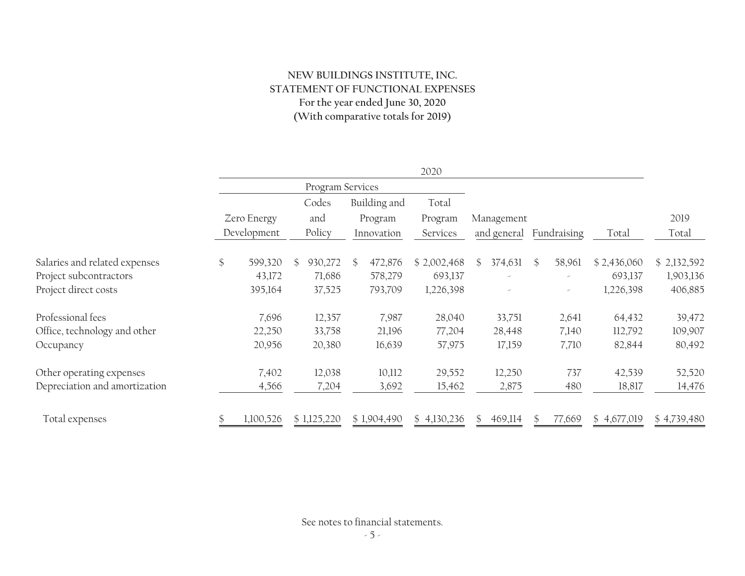# **NEW BUILDINGS INSTITUTE, INC. STATEMENT OF FUNCTIONAL EXPENSES For the year ended June 30, 2020 (With comparative totals for 2019)**

|                               |                  |               |             |  |              | 2020        |               |                         |                          |             |             |
|-------------------------------|------------------|---------------|-------------|--|--------------|-------------|---------------|-------------------------|--------------------------|-------------|-------------|
|                               | Program Services |               |             |  |              |             |               |                         |                          |             |             |
|                               |                  |               | Codes       |  | Building and | Total       |               |                         |                          |             |             |
|                               | Zero Energy      |               | and         |  | Program      | Program     |               | Management              |                          |             | 2019        |
|                               | Development      |               | Policy      |  | Innovation   | Services    |               | and general Fundraising |                          | Total       | Total       |
| Salaries and related expenses | \$<br>599,320    | $\mathcal{S}$ | 930,272     |  | 472,876      | \$2,002,468 | $\mathcal{S}$ | 374,631                 | 58,961                   | \$2,436,060 | \$2,132,592 |
| Project subcontractors        | 43,172           |               | 71,686      |  | 578,279      | 693,137     |               |                         | $\overline{\phantom{a}}$ | 693,137     | 1,903,136   |
| Project direct costs          | 395,164          |               | 37,525      |  | 793,709      | 1,226,398   |               |                         | ×                        | 1,226,398   | 406,885     |
| Professional fees             | 7,696            |               | 12,357      |  | 7,987        | 28,040      |               | 33,751                  | 2,641                    | 64,432      | 39,472      |
| Office, technology and other  | 22,250           |               | 33,758      |  | 21,196       | 77,204      |               | 28,448                  | 7,140                    | 112,792     | 109,907     |
| Occupancy                     | 20,956           |               | 20,380      |  | 16,639       | 57,975      |               | 17,159                  | 7,710                    | 82,844      | 80,492      |
| Other operating expenses      | 7,402            |               | 12,038      |  | 10,112       | 29,552      |               | 12,250                  | 737                      | 42,539      | 52,520      |
| Depreciation and amortization | 4,566            |               | 7,204       |  | 3,692        | 15,462      |               | 2,875                   | 480                      | 18,817      | 14,476      |
| Total expenses                | 1,100,526        |               | \$1,125,220 |  | \$1,904,490  | \$4,130,236 | \$.           | 469,114                 | 77,669                   | \$4,677,019 | \$4,739,480 |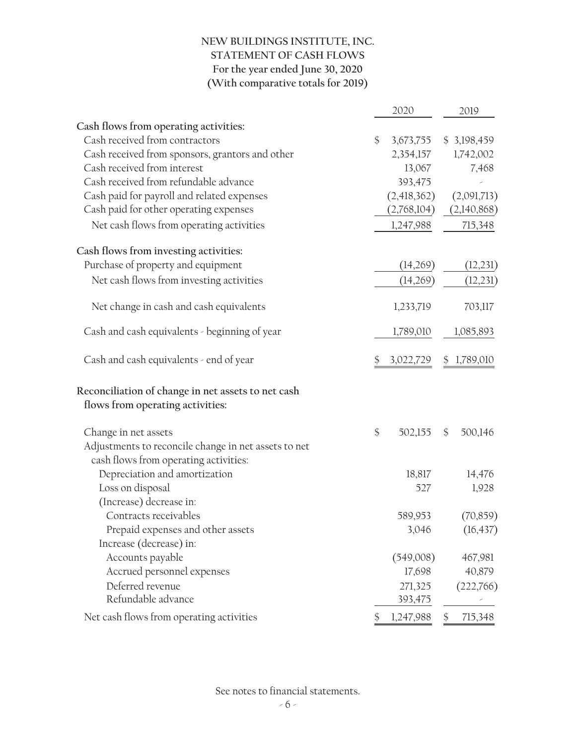# **NEW BUILDINGS INSTITUTE, INC. STATEMENT OF CASH FLOWS For the year ended June 30, 2020 (With comparative totals for 2019)**

|                                                                                        |               | 2020               | 2019            |
|----------------------------------------------------------------------------------------|---------------|--------------------|-----------------|
| Cash flows from operating activities:                                                  |               |                    |                 |
| Cash received from contractors                                                         | $\frac{6}{5}$ | 3,673,755          | \$3,198,459     |
| Cash received from sponsors, grantors and other                                        |               | 2,354,157          | 1,742,002       |
| Cash received from interest                                                            |               | 13,067             | 7,468           |
| Cash received from refundable advance                                                  |               | 393,475            |                 |
| Cash paid for payroll and related expenses                                             |               | (2,418,362)        | (2,091,713)     |
| Cash paid for other operating expenses                                                 |               | (2,768,104)        | (2,140,868)     |
| Net cash flows from operating activities                                               |               | 1,247,988          | 715,348         |
| Cash flows from investing activities:                                                  |               |                    |                 |
| Purchase of property and equipment                                                     |               | (14,269)           | (12, 231)       |
| Net cash flows from investing activities                                               |               | (14,269)           | (12, 231)       |
| Net change in cash and cash equivalents                                                |               | 1,233,719          | 703,117         |
| Cash and cash equivalents - beginning of year                                          |               | 1,789,010          | 1,085,893       |
| Cash and cash equivalents - end of year                                                |               | 3,022,729          | \$<br>1,789,010 |
| Reconciliation of change in net assets to net cash<br>flows from operating activities: |               |                    |                 |
| Change in net assets                                                                   | \$            | 502,155            | \$<br>500,146   |
| Adjustments to reconcile change in net assets to net                                   |               |                    |                 |
| cash flows from operating activities:                                                  |               |                    |                 |
| Depreciation and amortization                                                          |               | 18,817             | 14,476          |
| Loss on disposal                                                                       |               | 527                | 1,928           |
| (Increase) decrease in:                                                                |               |                    |                 |
| Contracts receivables                                                                  |               | 589,953            | (70, 859)       |
| Prepaid expenses and other assets                                                      |               | 3,046              | (16, 437)       |
| Increase (decrease) in:                                                                |               |                    |                 |
| Accounts payable                                                                       |               | (549,008)          | 467,981         |
| Accrued personnel expenses                                                             |               | 17,698             | 40,879          |
| Deferred revenue<br>Refundable advance                                                 |               | 271,325<br>393,475 | (222,766)       |
| Net cash flows from operating activities                                               | \$            | 1,247,988          | \$<br>715,348   |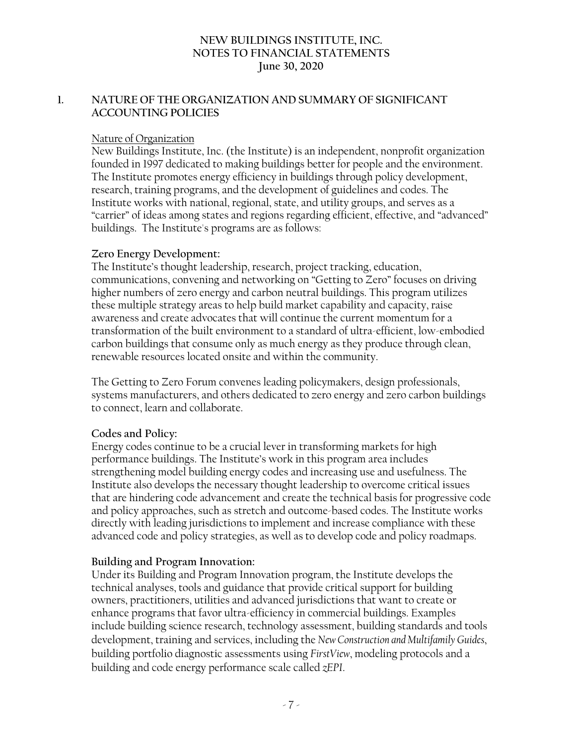### **1. NATURE OF THE ORGANIZATION AND SUMMARY OF SIGNIFICANT ACCOUNTING POLICIES**

# Nature of Organization

New Buildings Institute, Inc. (the Institute) is an independent, nonprofit organization founded in 1997 dedicated to making buildings better for people and the environment. The Institute promotes energy efficiency in buildings through policy development, research, training programs, and the development of guidelines and codes. The Institute works with national, regional, state, and utility groups, and serves as a "carrier" of ideas among states and regions regarding efficient, effective, and "advanced" buildings. The Institute's programs are as follows:

### **Zero Energy Development:**

The Institute's thought leadership, research, project tracking, education, communications, convening and networking on "Getting to Zero" focuses on driving higher numbers of zero energy and carbon neutral buildings. This program utilizes these multiple strategy areas to help build market capability and capacity, raise awareness and create advocates that will continue the current momentum for a transformation of the built environment to a standard of ultra-efficient, low-embodied carbon buildings that consume only as much energy as they produce through clean, renewable resources located onsite and within the community.

The Getting to Zero Forum convenes leading policymakers, design professionals, systems manufacturers, and others dedicated to zero energy and zero carbon buildings to connect, learn and collaborate.

# **Codes and Policy:**

Energy codes continue to be a crucial lever in transforming markets for high performance buildings. The Institute's work in this program area includes strengthening model building energy codes and increasing use and usefulness. The Institute also develops the necessary thought leadership to overcome critical issues that are hindering code advancement and create the technical basis for progressive code and policy approaches, such as stretch and outcome-based codes. The Institute works directly with leading jurisdictions to implement and increase compliance with these advanced code and policy strategies, as well as to develop code and policy roadmaps.

# **Building and Program Innovation:**

 Under its Building and Program Innovation program, the Institute develops the technical analyses, tools and guidance that provide critical support for building owners, practitioners, utilities and advanced jurisdictions that want to create or enhance programs that favor ultra-efficiency in commercial buildings. Examples include building science research, technology assessment, building standards and tools development, training and services, including the *New Construction and Multifamily Guides*, building portfolio diagnostic assessments using *FirstView*, modeling protocols and a building and code energy performance scale called *zEPI*.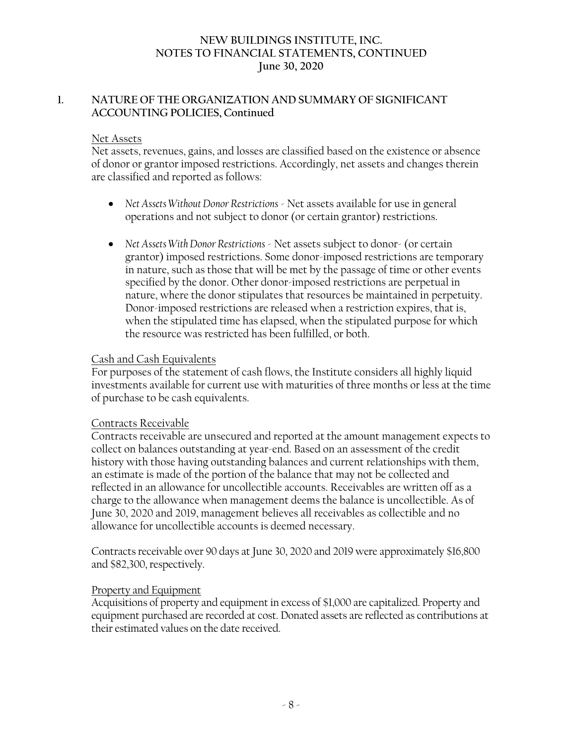### **1. NATURE OF THE ORGANIZATION AND SUMMARY OF SIGNIFICANT ACCOUNTING POLICIES, Continued**

### Net Assets

Net assets, revenues, gains, and losses are classified based on the existence or absence of donor or grantor imposed restrictions. Accordingly, net assets and changes therein are classified and reported as follows:

- *Net Assets Without Donor Restrictions* Net assets available for use in general operations and not subject to donor (or certain grantor) restrictions.
- *Net Assets With Donor Restrictions* Net assets subject to donor- (or certain grantor) imposed restrictions. Some donor-imposed restrictions are temporary in nature, such as those that will be met by the passage of time or other events specified by the donor. Other donor-imposed restrictions are perpetual in nature, where the donor stipulates that resources be maintained in perpetuity. Donor-imposed restrictions are released when a restriction expires, that is, when the stipulated time has elapsed, when the stipulated purpose for which the resource was restricted has been fulfilled, or both.

# Cash and Cash Equivalents

For purposes of the statement of cash flows, the Institute considers all highly liquid investments available for current use with maturities of three months or less at the time of purchase to be cash equivalents.

### Contracts Receivable

Contracts receivable are unsecured and reported at the amount management expects to collect on balances outstanding at year-end. Based on an assessment of the credit history with those having outstanding balances and current relationships with them, an estimate is made of the portion of the balance that may not be collected and reflected in an allowance for uncollectible accounts. Receivables are written off as a charge to the allowance when management deems the balance is uncollectible. As of June 30, 2020 and 2019, management believes all receivables as collectible and no allowance for uncollectible accounts is deemed necessary.

Contracts receivable over 90 days at June 30, 2020 and 2019 were approximately \$16,800 and \$82,300, respectively.

# Property and Equipment

Acquisitions of property and equipment in excess of \$1,000 are capitalized. Property and equipment purchased are recorded at cost. Donated assets are reflected as contributions at their estimated values on the date received.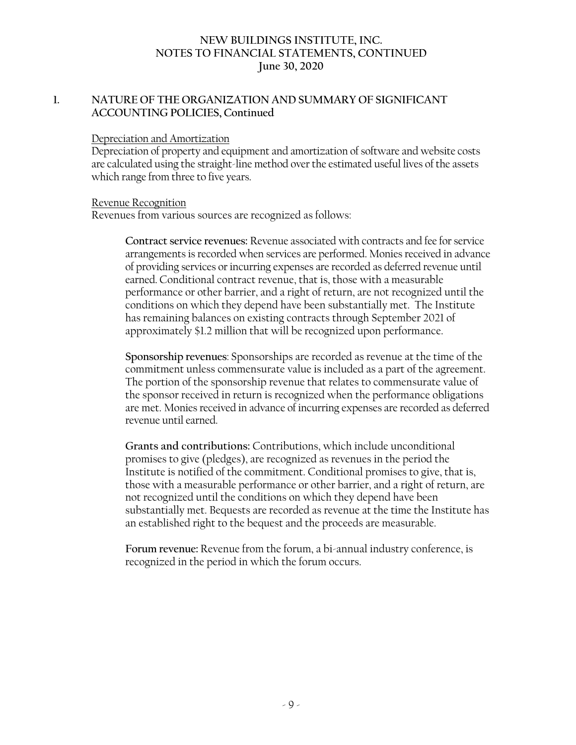### **1. NATURE OF THE ORGANIZATION AND SUMMARY OF SIGNIFICANT ACCOUNTING POLICIES, Continued**

# Depreciation and Amortization

Depreciation of property and equipment and amortization of software and website costs are calculated using the straight-line method over the estimated useful lives of the assets which range from three to five years.

### Revenue Recognition

Revenues from various sources are recognized as follows:

**Contract service revenues:** Revenue associated with contracts and fee for service arrangements is recorded when services are performed. Monies received in advance of providing services or incurring expenses are recorded as deferred revenue until earned. Conditional contract revenue, that is, those with a measurable performance or other barrier, and a right of return, are not recognized until the conditions on which they depend have been substantially met. The Institute has remaining balances on existing contracts through September 2021 of approximately \$1.2 million that will be recognized upon performance.

**Sponsorship revenues**: Sponsorships are recorded as revenue at the time of the commitment unless commensurate value is included as a part of the agreement. The portion of the sponsorship revenue that relates to commensurate value of the sponsor received in return is recognized when the performance obligations are met. Monies received in advance of incurring expenses are recorded as deferred revenue until earned.

**Grants and contributions:** Contributions, which include unconditional promises to give (pledges), are recognized as revenues in the period the Institute is notified of the commitment. Conditional promises to give, that is, those with a measurable performance or other barrier, and a right of return, are not recognized until the conditions on which they depend have been substantially met. Bequests are recorded as revenue at the time the Institute has an established right to the bequest and the proceeds are measurable.

**Forum revenue:** Revenue from the forum, a bi-annual industry conference, is recognized in the period in which the forum occurs.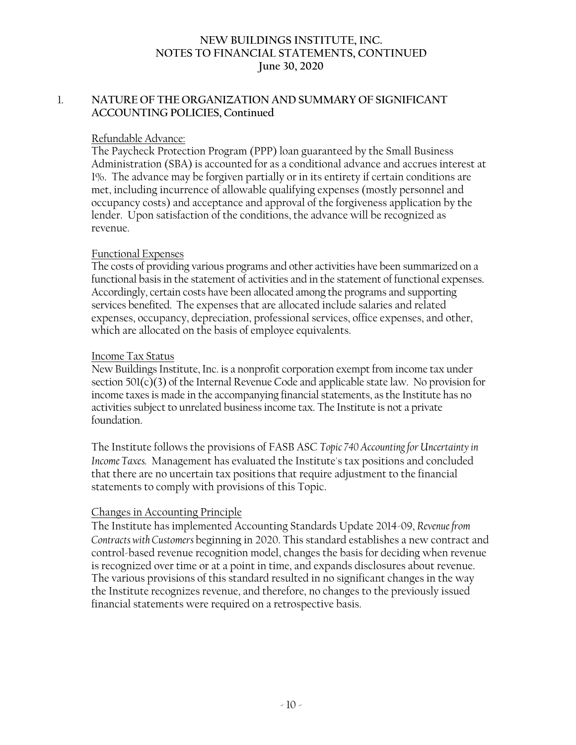### 1. **NATURE OF THE ORGANIZATION AND SUMMARY OF SIGNIFICANT ACCOUNTING POLICIES, Continued**

# Refundable Advance:

The Paycheck Protection Program (PPP) loan guaranteed by the Small Business Administration (SBA) is accounted for as a conditional advance and accrues interest at 1%. The advance may be forgiven partially or in its entirety if certain conditions are met, including incurrence of allowable qualifying expenses (mostly personnel and occupancy costs) and acceptance and approval of the forgiveness application by the lender. Upon satisfaction of the conditions, the advance will be recognized as revenue.

# Functional Expenses

The costs of providing various programs and other activities have been summarized on a functional basis in the statement of activities and in the statement of functional expenses. Accordingly, certain costs have been allocated among the programs and supporting services benefited. The expenses that are allocated include salaries and related expenses, occupancy, depreciation, professional services, office expenses, and other, which are allocated on the basis of employee equivalents.

# Income Tax Status

New Buildings Institute, Inc. is a nonprofit corporation exempt from income tax under section 501(c)(3) of the Internal Revenue Code and applicable state law. No provision for income taxes is made in the accompanying financial statements, as the Institute has no activities subject to unrelated business income tax. The Institute is not a private foundation.

The Institute follows the provisions of FASB ASC *Topic 740 Accounting for Uncertainty in Income Taxes.* Management has evaluated the Institute's tax positions and concluded that there are no uncertain tax positions that require adjustment to the financial statements to comply with provisions of this Topic.

# Changes in Accounting Principle

The Institute has implemented Accounting Standards Update 2014-09, *Revenue from Contracts with Customers* beginning in 2020. This standard establishes a new contract and control-based revenue recognition model, changes the basis for deciding when revenue is recognized over time or at a point in time, and expands disclosures about revenue. The various provisions of this standard resulted in no significant changes in the way the Institute recognizes revenue, and therefore, no changes to the previously issued financial statements were required on a retrospective basis.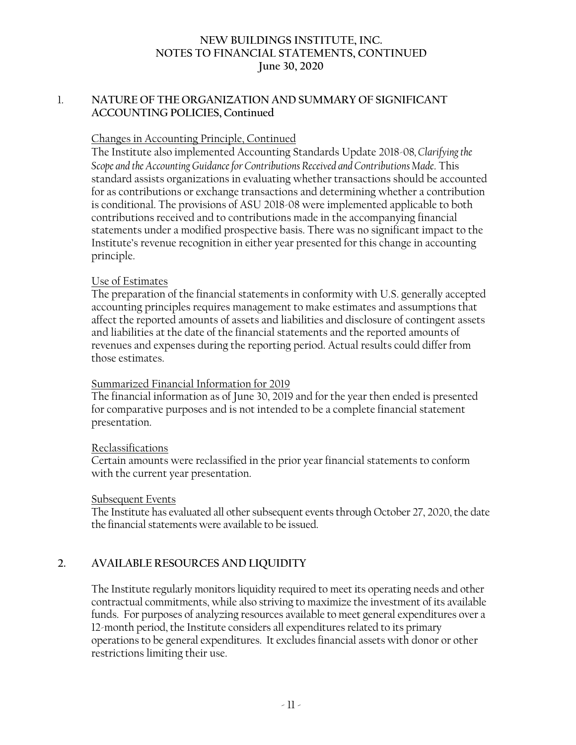### 1. **NATURE OF THE ORGANIZATION AND SUMMARY OF SIGNIFICANT ACCOUNTING POLICIES, Continued**

### Changes in Accounting Principle, Continued

The Institute also implemented Accounting Standards Update 2018-08*, Clarifying the Scope and the Accounting Guidance for Contributions Received and Contributions Made*. This standard assists organizations in evaluating whether transactions should be accounted for as contributions or exchange transactions and determining whether a contribution is conditional. The provisions of ASU 2018-08 were implemented applicable to both contributions received and to contributions made in the accompanying financial statements under a modified prospective basis. There was no significant impact to the Institute's revenue recognition in either year presented for this change in accounting principle.

### Use of Estimates

The preparation of the financial statements in conformity with U.S. generally accepted accounting principles requires management to make estimates and assumptions that affect the reported amounts of assets and liabilities and disclosure of contingent assets and liabilities at the date of the financial statements and the reported amounts of revenues and expenses during the reporting period. Actual results could differ from those estimates.

# Summarized Financial Information for 2019

The financial information as of June 30, 2019 and for the year then ended is presented for comparative purposes and is not intended to be a complete financial statement presentation.

### Reclassifications

Certain amounts were reclassified in the prior year financial statements to conform with the current year presentation.

### Subsequent Events

The Institute has evaluated all other subsequent events through October 27, 2020, the date the financial statements were available to be issued.

# **2. AVAILABLE RESOURCES AND LIQUIDITY**

The Institute regularly monitors liquidity required to meet its operating needs and other contractual commitments, while also striving to maximize the investment of its available funds. For purposes of analyzing resources available to meet general expenditures over a 12-month period, the Institute considers all expenditures related to its primary operations to be general expenditures. It excludes financial assets with donor or other restrictions limiting their use.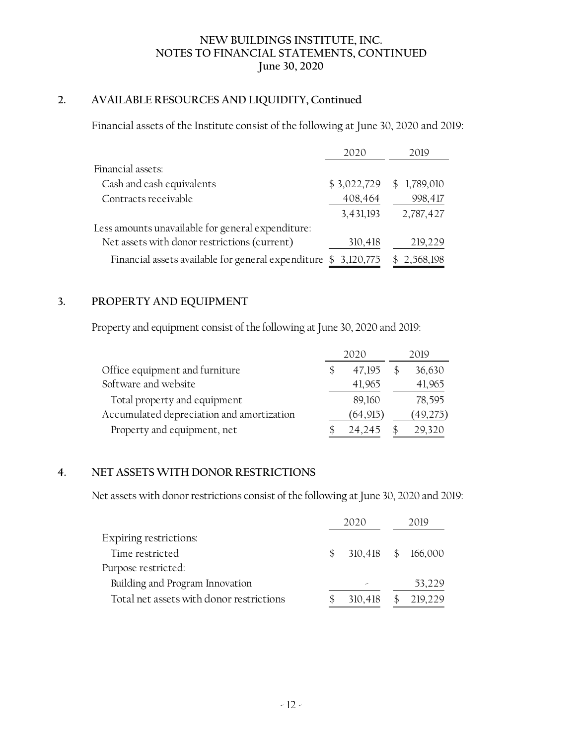# **2. AVAILABLE RESOURCES AND LIQUIDITY, Continued**

Financial assets of the Institute consist of the following at June 30, 2020 and 2019:

|                                                                | 2020        | 2019        |
|----------------------------------------------------------------|-------------|-------------|
| Financial assets:                                              |             |             |
| Cash and cash equivalents                                      | \$3,022,729 | \$1,789,010 |
| Contracts receivable                                           | 408,464     | 998,417     |
|                                                                | 3,431,193   | 2,787,427   |
| Less amounts unavailable for general expenditure:              |             |             |
| Net assets with donor restrictions (current)                   | 310,418     | 219,229     |
| Financial assets available for general expenditure \$3,120,775 |             | \$2,568,198 |

# **3. PROPERTY AND EQUIPMENT**

Property and equipment consist of the following at June 30, 2020 and 2019:

|                                           | 2020      | 2019      |  |
|-------------------------------------------|-----------|-----------|--|
| Office equipment and furniture            | 47,195    | 36,630    |  |
| Software and website                      | 41,965    | 41,965    |  |
| Total property and equipment              | 89,160    | 78,595    |  |
| Accumulated depreciation and amortization | (64, 915) | (49, 275) |  |
| Property and equipment, net               | 24,245    | 29,320    |  |

# **4. NET ASSETS WITH DONOR RESTRICTIONS**

Net assets with donor restrictions consist of the following at June 30, 2020 and 2019:

|               | 2020    | 2019               |  |
|---------------|---------|--------------------|--|
|               |         |                    |  |
| $\mathcal{S}$ |         |                    |  |
|               |         |                    |  |
|               | ۰       | 53,229             |  |
|               | 310,418 | 219,229            |  |
|               |         | 310,418 \$ 166,000 |  |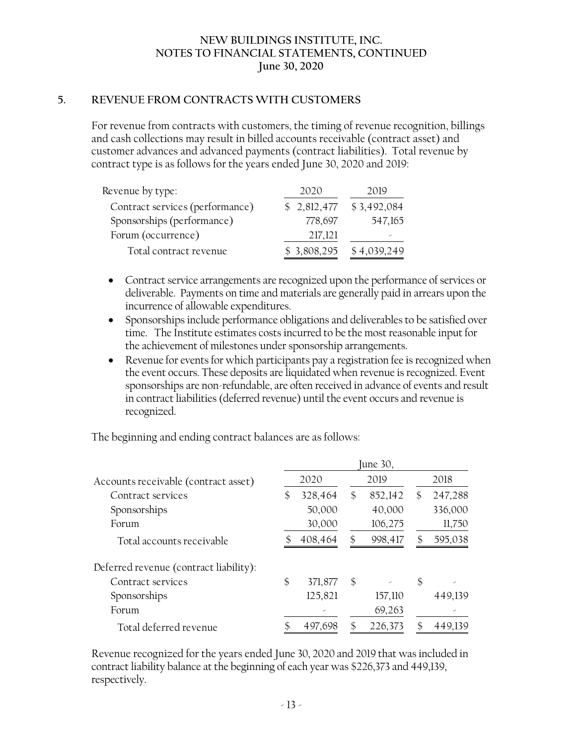### **5. REVENUE FROM CONTRACTS WITH CUSTOMERS**

For revenue from contracts with customers, the timing of revenue recognition, billings and cash collections may result in billed accounts receivable (contract asset) and customer advances and advanced payments (contract liabilities). Total revenue by contract type is as follows for the years ended June 30, 2020 and 2019:

| Revenue by type:                | 2020        | 2019        |
|---------------------------------|-------------|-------------|
| Contract services (performance) | \$2,812,477 | \$3,492,084 |
| Sponsorships (performance)      | 778,697     | 547,165     |
| Forum (occurrence)              | 217,121     |             |
| Total contract revenue          | \$3,808,295 | \$4,039,249 |

- Contract service arrangements are recognized upon the performance of services or deliverable. Payments on time and materials are generally paid in arrears upon the incurrence of allowable expenditures.
- Sponsorships include performance obligations and deliverables to be satisfied over time. The Institute estimates costs incurred to be the most reasonable input for the achievement of milestones under sponsorship arrangements.
- Revenue for events for which participants pay a registration fee is recognized when the event occurs. These deposits are liquidated when revenue is recognized. Event sponsorships are non-refundable, are often received in advance of events and result in contract liabilities (deferred revenue) until the event occurs and revenue is recognized.

The beginning and ending contract balances are as follows:

|                                        | June 30, |         |    |         |    |         |  |  |  |
|----------------------------------------|----------|---------|----|---------|----|---------|--|--|--|
| Accounts receivable (contract asset)   |          | 2020    |    | 2019    |    | 2018    |  |  |  |
| Contract services                      | \$       | 328,464 | \$ | 852,142 | \$ | 247,288 |  |  |  |
| Sponsorships                           |          | 50,000  |    | 40,000  |    | 336,000 |  |  |  |
| Forum                                  |          | 30,000  |    | 106,275 |    | 11,750  |  |  |  |
| Total accounts receivable              |          | 408,464 |    | 998,417 | S  | 595,038 |  |  |  |
| Deferred revenue (contract liability): |          |         |    |         |    |         |  |  |  |
| Contract services                      | \$       | 371,877 | \$ |         | \$ | ╭       |  |  |  |
| Sponsorships                           |          | 125,821 |    | 157,110 |    | 449,139 |  |  |  |
| Forum                                  |          |         |    | 69,263  |    |         |  |  |  |
| Total deferred revenue                 |          | 497,698 |    | 226,373 |    | 449,139 |  |  |  |

Revenue recognized for the years ended June 30, 2020 and 2019 that was included in contract liability balance at the beginning of each year was \$226,373 and 449,139, respectively.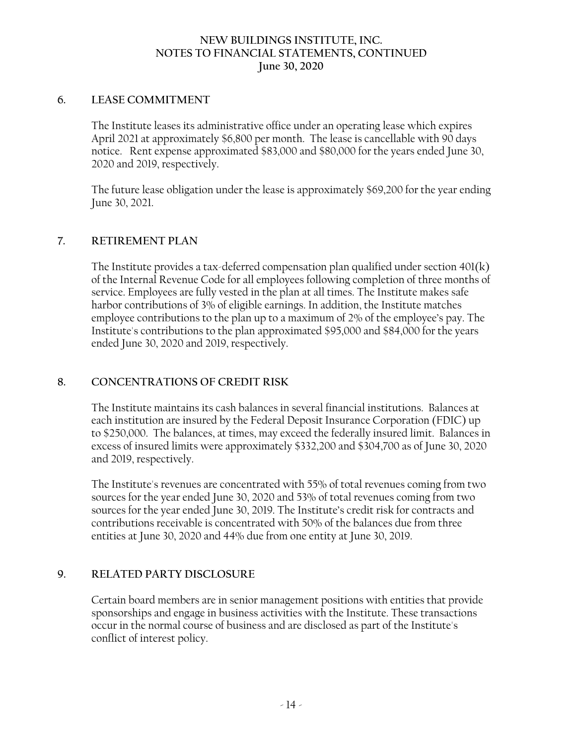### **6. LEASE COMMITMENT**

The Institute leases its administrative office under an operating lease which expires April 2021 at approximately \$6,800 per month. The lease is cancellable with 90 days notice. Rent expense approximated \$83,000 and \$80,000 for the years ended June 30, 2020 and 2019, respectively.

The future lease obligation under the lease is approximately \$69,200 for the year ending June 30, 2021.

### **7. RETIREMENT PLAN**

The Institute provides a tax-deferred compensation plan qualified under section 401(k) of the Internal Revenue Code for all employees following completion of three months of service. Employees are fully vested in the plan at all times. The Institute makes safe harbor contributions of 3% of eligible earnings. In addition, the Institute matches employee contributions to the plan up to a maximum of 2% of the employee's pay. The Institute's contributions to the plan approximated \$95,000 and \$84,000 for the years ended June 30, 2020 and 2019, respectively.

# **8. CONCENTRATIONS OF CREDIT RISK**

The Institute maintains its cash balances in several financial institutions. Balances at each institution are insured by the Federal Deposit Insurance Corporation (FDIC) up to \$250,000. The balances, at times, may exceed the federally insured limit. Balances in excess of insured limits were approximately \$332,200 and \$304,700 as of June 30, 2020 and 2019, respectively.

The Institute's revenues are concentrated with 55% of total revenues coming from two sources for the year ended June 30, 2020 and 53% of total revenues coming from two sources for the year ended June 30, 2019. The Institute's credit risk for contracts and contributions receivable is concentrated with 50% of the balances due from three entities at June 30, 2020 and 44% due from one entity at June 30, 2019.

### **9. RELATED PARTY DISCLOSURE**

Certain board members are in senior management positions with entities that provide sponsorships and engage in business activities with the Institute. These transactions occur in the normal course of business and are disclosed as part of the Institute's conflict of interest policy.